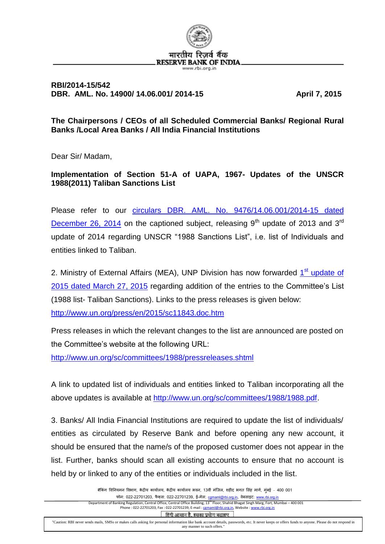

## **RBI/2014-15/542 DBR. AML. No. 14900/ 14.06.001/ 2014-15 April 7, 2015**

**The Chairpersons / CEOs of all Scheduled Commercial Banks/ Regional Rural Banks /Local Area Banks / All India Financial Institutions**

Dear Sir/ Madam,

**Implementation of Section 51-A of UAPA, 1967- Updates of the UNSCR 1988(2011) Taliban Sanctions List**

Please refer to our circulars DBR. AML. [No. 9476/14.06.001/2014-15 dated](http://rbi.org.in/scripts/NotificationUser.aspx?Id=9429&Mode=0)  [December 26, 2014](http://rbi.org.in/scripts/NotificationUser.aspx?Id=9429&Mode=0) on the captioned subject, releasing  $9<sup>th</sup>$  update of 2013 and  $3<sup>rd</sup>$ update of 2014 regarding UNSCR "1988 Sanctions List", i.e. list of Individuals and entities linked to Taliban.

2. Ministry of External Affairs (MEA), UNP Division has now forwarded 1<sup>st</sup> update of 2015 [dated March 27, 2015](http://rbidocs.rbi.org.in/rdocs/content/pdfs/NT542UC070414_A1.pdf) regarding addition of the entries to the Committee's List (1988 list- Taliban Sanctions). Links to the press releases is given below: <http://www.un.org/press/en/2015/sc11843.doc.htm>

Press releases in which the relevant changes to the list are announced are posted on the Committee's website at the following URL:

<http://www.un.org/sc/committees/1988/pressreleases.shtml>

A link to updated list of individuals and entities linked to Taliban incorporating all the above updates is available at [http://www.un.org/sc/committees/1988/1988.pdf.](http://www.un.org/sc/committees/1988/1988.pdf)

3. Banks/ All India Financial Institutions are required to update the list of individuals/ entities as circulated by Reserve Bank and before opening any new account, it should be ensured that the name/s of the proposed customer does not appear in the list. Further, banks should scan all existing accounts to ensure that no account is held by or linked to any of the entities or individuals included in the list.

> बैंकिंग विनियमन विभाग, केंद्रीय कार्यालय, केंद्रीय कार्यालय भवन, 13वीं मंजिल, शहीद भगत सिंह मार्ग, मुंबई – 400 001 फोन: 022-22701203, फैक्स: 022-22701239, ई-मेल: [cgmaml@rbi.org.in](mailto:cgmaml@rbi.org.in), वेबसाइट: [www.rbi.org.in](http://www.rbi.org.in/) Department of Banking Regulation, Central Office, Central Office Building, 13<sup>th</sup> Floor, Shahid Bhagat Singh Marg, Fort, Mumbai - 400 001 Phone : 022-22701203, Fax : 022-22701239, E-mail : command @rbi.org.in, Website : www.rb

> > हिंदी आसान है, इसका प्रयोग बढ़ाइए

"Caution: RBI never sends mails, SMSs or makes calls asking for personal information like bank account details, passwords, etc. It never keeps or offers funds to anyone. Please do not respond in any manner to such offers."